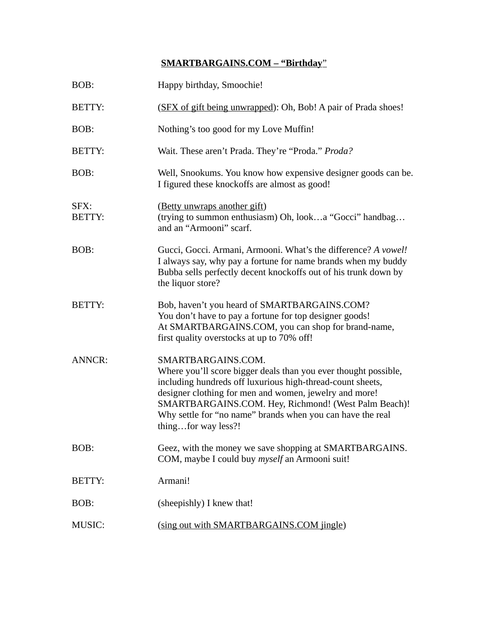## **SMARTBARGAINS.COM – "Birthday**"

| BOB:                  | Happy birthday, Smoochie!                                                                                                                                                                                                                                                                                                                                  |
|-----------------------|------------------------------------------------------------------------------------------------------------------------------------------------------------------------------------------------------------------------------------------------------------------------------------------------------------------------------------------------------------|
| <b>BETTY:</b>         | (SFX of gift being unwrapped): Oh, Bob! A pair of Prada shoes!                                                                                                                                                                                                                                                                                             |
| BOB:                  | Nothing's too good for my Love Muffin!                                                                                                                                                                                                                                                                                                                     |
| <b>BETTY:</b>         | Wait. These aren't Prada. They're "Proda." Proda?                                                                                                                                                                                                                                                                                                          |
| BOB:                  | Well, Snookums. You know how expensive designer goods can be.<br>I figured these knockoffs are almost as good!                                                                                                                                                                                                                                             |
| SFX:<br><b>BETTY:</b> | (Betty unwraps another gift)<br>(trying to summon enthusiasm) Oh, looka "Gocci" handbag<br>and an "Armooni" scarf.                                                                                                                                                                                                                                         |
| BOB:                  | Gucci, Gocci. Armani, Armooni. What's the difference? A vowel!<br>I always say, why pay a fortune for name brands when my buddy<br>Bubba sells perfectly decent knockoffs out of his trunk down by<br>the liquor store?                                                                                                                                    |
| <b>BETTY:</b>         | Bob, haven't you heard of SMARTBARGAINS.COM?<br>You don't have to pay a fortune for top designer goods!<br>At SMARTBARGAINS.COM, you can shop for brand-name,<br>first quality overstocks at up to 70% off!                                                                                                                                                |
| <b>ANNCR:</b>         | SMARTBARGAINS.COM.<br>Where you'll score bigger deals than you ever thought possible,<br>including hundreds off luxurious high-thread-count sheets,<br>designer clothing for men and women, jewelry and more!<br>SMARTBARGAINS.COM. Hey, Richmond! (West Palm Beach)!<br>Why settle for "no name" brands when you can have the real<br>thingfor way less?! |
| BOB:                  | Geez, with the money we save shopping at SMARTBARGAINS.<br>COM, maybe I could buy <i>myself</i> an Armooni suit!                                                                                                                                                                                                                                           |
| BETTY:                | Armani!                                                                                                                                                                                                                                                                                                                                                    |
| BOB:                  | (sheepishly) I knew that!                                                                                                                                                                                                                                                                                                                                  |
| <b>MUSIC:</b>         | (sing out with SMARTBARGAINS.COM jingle)                                                                                                                                                                                                                                                                                                                   |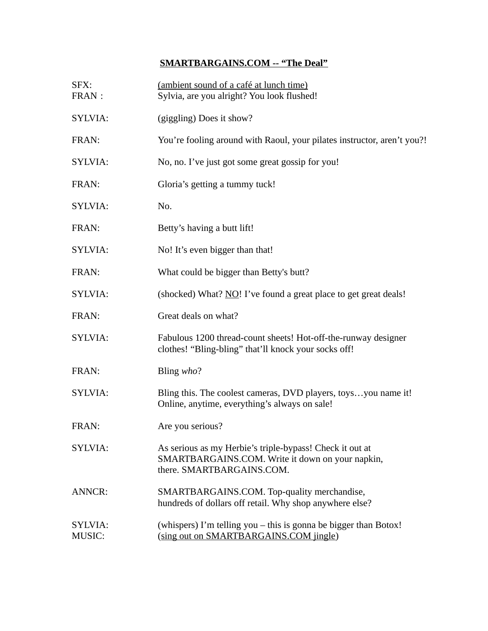## **SMARTBARGAINS.COM -- "The Deal"**

| SFX:<br>FRAN:            | (ambient sound of a café at lunch time)<br>Sylvia, are you alright? You look flushed!                                                     |
|--------------------------|-------------------------------------------------------------------------------------------------------------------------------------------|
| SYLVIA:                  | (giggling) Does it show?                                                                                                                  |
| FRAN:                    | You're fooling around with Raoul, your pilates instructor, aren't you?!                                                                   |
| SYLVIA:                  | No, no. I've just got some great gossip for you!                                                                                          |
| FRAN:                    | Gloria's getting a tummy tuck!                                                                                                            |
| SYLVIA:                  | No.                                                                                                                                       |
| FRAN:                    | Betty's having a butt lift!                                                                                                               |
| SYLVIA:                  | No! It's even bigger than that!                                                                                                           |
| FRAN:                    | What could be bigger than Betty's butt?                                                                                                   |
| SYLVIA:                  | (shocked) What? NO! I've found a great place to get great deals!                                                                          |
| FRAN:                    | Great deals on what?                                                                                                                      |
| SYLVIA:                  | Fabulous 1200 thread-count sheets! Hot-off-the-runway designer<br>clothes! "Bling-bling" that'll knock your socks off!                    |
| FRAN:                    | Bling who?                                                                                                                                |
| SYLVIA:                  | Bling this. The coolest cameras, DVD players, toysyou name it!<br>Online, anytime, everything's always on sale!                           |
| FRAN:                    | Are you serious?                                                                                                                          |
| <b>SYLVIA:</b>           | As serious as my Herbie's triple-bypass! Check it out at<br>SMARTBARGAINS.COM. Write it down on your napkin,<br>there. SMARTBARGAINS.COM. |
| <b>ANNCR:</b>            | SMARTBARGAINS.COM. Top-quality merchandise,<br>hundreds of dollars off retail. Why shop anywhere else?                                    |
| SYLVIA:<br><b>MUSIC:</b> | (whispers) I'm telling you – this is gonna be bigger than Botox!<br>(sing out on SMARTBARGAINS.COM jingle)                                |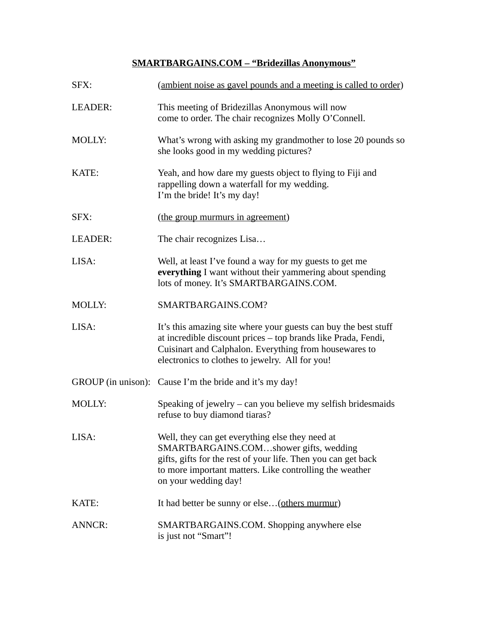# **SMARTBARGAINS.COM – "Bridezillas Anonymous"**

| SFX:          | (ambient noise as gavel pounds and a meeting is called to order)                                                                                                                                                                              |
|---------------|-----------------------------------------------------------------------------------------------------------------------------------------------------------------------------------------------------------------------------------------------|
| LEADER:       | This meeting of Bridezillas Anonymous will now<br>come to order. The chair recognizes Molly O'Connell.                                                                                                                                        |
| <b>MOLLY:</b> | What's wrong with asking my grandmother to lose 20 pounds so<br>she looks good in my wedding pictures?                                                                                                                                        |
| KATE:         | Yeah, and how dare my guests object to flying to Fiji and<br>rappelling down a waterfall for my wedding.<br>I'm the bride! It's my day!                                                                                                       |
| SFX:          | (the group murmurs in agreement)                                                                                                                                                                                                              |
| LEADER:       | The chair recognizes Lisa                                                                                                                                                                                                                     |
| LISA:         | Well, at least I've found a way for my guests to get me<br>everything I want without their yammering about spending<br>lots of money. It's SMARTBARGAINS.COM.                                                                                 |
| <b>MOLLY:</b> | SMARTBARGAINS.COM?                                                                                                                                                                                                                            |
| LISA:         | It's this amazing site where your guests can buy the best stuff<br>at incredible discount prices - top brands like Prada, Fendi,<br>Cuisinart and Calphalon. Everything from housewares to<br>electronics to clothes to jewelry. All for you! |
|               | GROUP (in unison): Cause I'm the bride and it's my day!                                                                                                                                                                                       |
| <b>MOLLY:</b> | Speaking of jewelry $-$ can you believe my selfish bridesmaids<br>refuse to buy diamond tiaras?                                                                                                                                               |
| LISA:         | Well, they can get everything else they need at<br>SMARTBARGAINS.COMshower gifts, wedding<br>gifts, gifts for the rest of your life. Then you can get back<br>to more important matters. Like controlling the weather<br>on your wedding day! |
| KATE:         | It had better be sunny or else (others murmur)                                                                                                                                                                                                |
| <b>ANNCR:</b> | SMARTBARGAINS.COM. Shopping anywhere else<br>is just not "Smart"!                                                                                                                                                                             |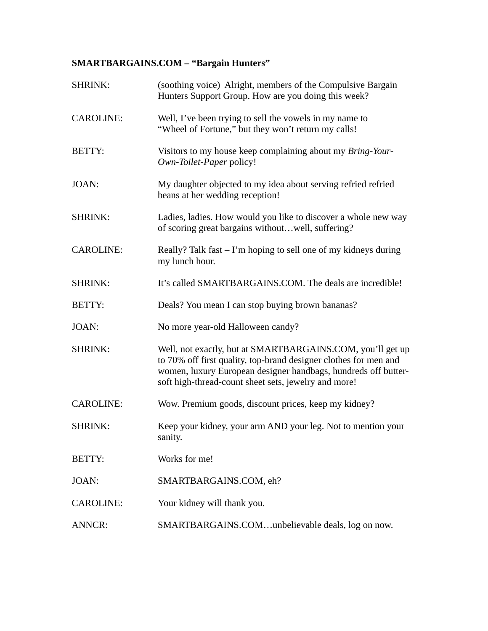## **SMARTBARGAINS.COM – "Bargain Hunters"**

| SHRINK:          | (soothing voice) Alright, members of the Compulsive Bargain<br>Hunters Support Group. How are you doing this week?                                                                                                                                       |
|------------------|----------------------------------------------------------------------------------------------------------------------------------------------------------------------------------------------------------------------------------------------------------|
| <b>CAROLINE:</b> | Well, I've been trying to sell the vowels in my name to<br>"Wheel of Fortune," but they won't return my calls!                                                                                                                                           |
| <b>BETTY:</b>    | Visitors to my house keep complaining about my Bring-Your-<br>Own-Toilet-Paper policy!                                                                                                                                                                   |
| JOAN:            | My daughter objected to my idea about serving refried refried<br>beans at her wedding reception!                                                                                                                                                         |
| SHRINK:          | Ladies, ladies. How would you like to discover a whole new way<br>of scoring great bargains withoutwell, suffering?                                                                                                                                      |
| <b>CAROLINE:</b> | Really? Talk fast $-$ I'm hoping to sell one of my kidneys during<br>my lunch hour.                                                                                                                                                                      |
| SHRINK:          | It's called SMARTBARGAINS.COM. The deals are incredible!                                                                                                                                                                                                 |
| <b>BETTY:</b>    | Deals? You mean I can stop buying brown bananas?                                                                                                                                                                                                         |
| JOAN:            | No more year-old Halloween candy?                                                                                                                                                                                                                        |
| SHRINK:          | Well, not exactly, but at SMARTBARGAINS.COM, you'll get up<br>to 70% off first quality, top-brand designer clothes for men and<br>women, luxury European designer handbags, hundreds off butter-<br>soft high-thread-count sheet sets, jewelry and more! |
| <b>CAROLINE:</b> | Wow. Premium goods, discount prices, keep my kidney?                                                                                                                                                                                                     |
| SHRINK:          | Keep your kidney, your arm AND your leg. Not to mention your<br>sanity.                                                                                                                                                                                  |
| BETTY:           | Works for me!                                                                                                                                                                                                                                            |
| JOAN:            | SMARTBARGAINS.COM, eh?                                                                                                                                                                                                                                   |
| CAROLINE:        | Your kidney will thank you.                                                                                                                                                                                                                              |
| ANNCR:           | SMARTBARGAINS.COMunbelievable deals, log on now.                                                                                                                                                                                                         |
|                  |                                                                                                                                                                                                                                                          |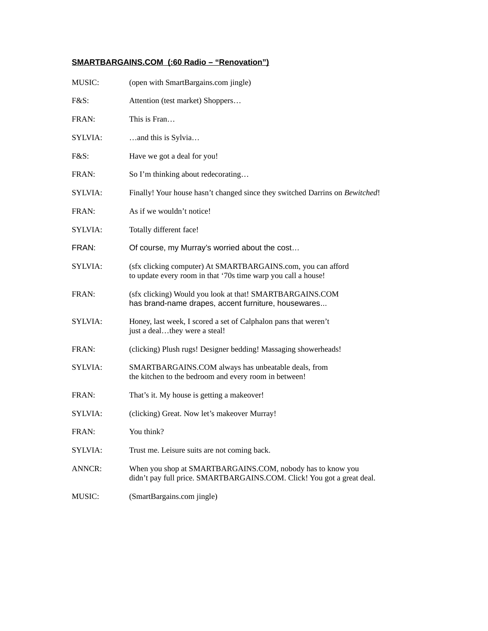### **SMARTBARGAINS.COM (:60 Radio – "Renovation")**

| <b>MUSIC:</b> | (open with SmartBargains.com jingle)                                                                                                 |
|---------------|--------------------------------------------------------------------------------------------------------------------------------------|
| F&S:          | Attention (test market) Shoppers                                                                                                     |
| FRAN:         | This is Fran                                                                                                                         |
| SYLVIA:       | and this is Sylvia                                                                                                                   |
| F&S:          | Have we got a deal for you!                                                                                                          |
| FRAN:         | So I'm thinking about redecorating                                                                                                   |
| SYLVIA:       | Finally! Your house hasn't changed since they switched Darrins on Bewitched!                                                         |
| FRAN:         | As if we wouldn't notice!                                                                                                            |
| SYLVIA:       | Totally different face!                                                                                                              |
| FRAN:         | Of course, my Murray's worried about the cost                                                                                        |
| SYLVIA:       | (sfx clicking computer) At SMARTBARGAINS.com, you can afford<br>to update every room in that '70s time warp you call a house!        |
| FRAN:         | (sfx clicking) Would you look at that! SMARTBARGAINS.COM<br>has brand-name drapes, accent furniture, housewares                      |
| SYLVIA:       | Honey, last week, I scored a set of Calphalon pans that weren't<br>just a dealthey were a steal!                                     |
| FRAN:         | (clicking) Plush rugs! Designer bedding! Massaging showerheads!                                                                      |
| SYLVIA:       | SMARTBARGAINS.COM always has unbeatable deals, from<br>the kitchen to the bedroom and every room in between!                         |
| FRAN:         | That's it. My house is getting a makeover!                                                                                           |
| SYLVIA:       | (clicking) Great. Now let's makeover Murray!                                                                                         |
| FRAN:         | You think?                                                                                                                           |
| SYLVIA:       | Trust me. Leisure suits are not coming back.                                                                                         |
| <b>ANNCR:</b> | When you shop at SMARTBARGAINS.COM, nobody has to know you<br>didn't pay full price. SMARTBARGAINS.COM. Click! You got a great deal. |
| MUSIC:        | (SmartBargains.com jingle)                                                                                                           |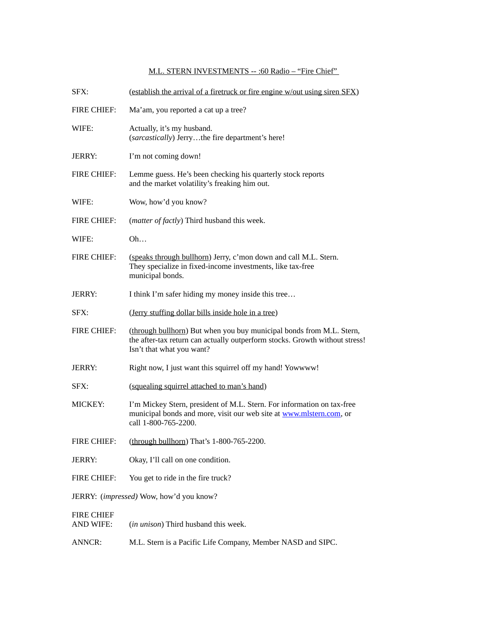#### M.L. STERN INVESTMENTS -- :60 Radio – "Fire Chief"

| SFX:                                    | (establish the arrival of a firetruck or fire engine w/out using siren SFX)                                                                                                      |
|-----------------------------------------|----------------------------------------------------------------------------------------------------------------------------------------------------------------------------------|
| <b>FIRE CHIEF:</b>                      | Ma'am, you reported a cat up a tree?                                                                                                                                             |
| WIFE:                                   | Actually, it's my husband.<br>(sarcastically) Jerrythe fire department's here!                                                                                                   |
| <b>JERRY:</b>                           | I'm not coming down!                                                                                                                                                             |
| <b>FIRE CHIEF:</b>                      | Lemme guess. He's been checking his quarterly stock reports<br>and the market volatility's freaking him out.                                                                     |
| WIFE:                                   | Wow, how'd you know?                                                                                                                                                             |
| FIRE CHIEF:                             | (matter of factly) Third husband this week.                                                                                                                                      |
| WIFE:                                   | Oh                                                                                                                                                                               |
| <b>FIRE CHIEF:</b>                      | (speaks through bullhorn) Jerry, c'mon down and call M.L. Stern.<br>They specialize in fixed-income investments, like tax-free<br>municipal bonds.                               |
| <b>JERRY:</b>                           | I think I'm safer hiding my money inside this tree                                                                                                                               |
| SFX:                                    | (Jerry stuffing dollar bills inside hole in a tree)                                                                                                                              |
| FIRE CHIEF:                             | (through bullhorn) But when you buy municipal bonds from M.L. Stern,<br>the after-tax return can actually outperform stocks. Growth without stress!<br>Isn't that what you want? |
| JERRY:                                  | Right now, I just want this squirrel off my hand! Yowwww!                                                                                                                        |
| SFX:                                    | (squealing squirrel attached to man's hand)                                                                                                                                      |
| MICKEY:                                 | I'm Mickey Stern, president of M.L. Stern. For information on tax-free<br>municipal bonds and more, visit our web site at www.mlstern.com, or<br>call 1-800-765-2200.            |
| <b>FIRE CHIEF:</b>                      | (through bullhorn) That's 1-800-765-2200.                                                                                                                                        |
| JERRY:                                  | Okay, I'll call on one condition.                                                                                                                                                |
| <b>FIRE CHIEF:</b>                      | You get to ride in the fire truck?                                                                                                                                               |
| JERRY: (impressed) Wow, how'd you know? |                                                                                                                                                                                  |
| <b>FIRE CHIEF</b><br><b>AND WIFE:</b>   | (in unison) Third husband this week.                                                                                                                                             |
| <b>ANNCR:</b>                           | M.L. Stern is a Pacific Life Company, Member NASD and SIPC.                                                                                                                      |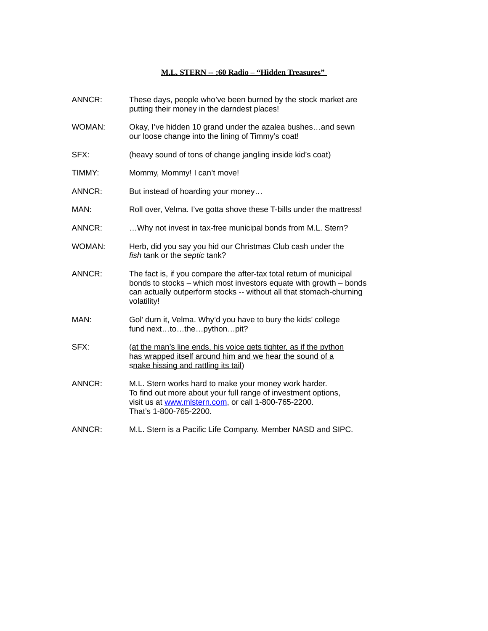#### **M.L. STERN -- :60 Radio – "Hidden Treasures"**

| ANNCR: | These days, people who've been burned by the stock market are<br>putting their money in the darndest places!                                                                                                                   |
|--------|--------------------------------------------------------------------------------------------------------------------------------------------------------------------------------------------------------------------------------|
| WOMAN: | Okay, I've hidden 10 grand under the azalea bushesand sewn<br>our loose change into the lining of Timmy's coat!                                                                                                                |
| SFX:   | (heavy sound of tons of change jangling inside kid's coat)                                                                                                                                                                     |
| TIMMY: | Mommy, Mommy! I can't move!                                                                                                                                                                                                    |
| ANNCR: | But instead of hoarding your money                                                                                                                                                                                             |
| MAN:   | Roll over, Velma. I've gotta shove these T-bills under the mattress!                                                                                                                                                           |
| ANNCR: | Why not invest in tax-free municipal bonds from M.L. Stern?                                                                                                                                                                    |
| WOMAN: | Herb, did you say you hid our Christmas Club cash under the<br>fish tank or the septic tank?                                                                                                                                   |
| ANNCR: | The fact is, if you compare the after-tax total return of municipal<br>bonds to stocks - which most investors equate with growth - bonds<br>can actually outperform stocks -- without all that stomach-churning<br>volatility! |
| MAN:   | Gol' durn it, Velma. Why'd you have to bury the kids' college<br>fund nexttothepythonpit?                                                                                                                                      |
| SFX:   | (at the man's line ends, his voice gets tighter, as if the python<br>has wrapped itself around him and we hear the sound of a<br>snake hissing and rattling its tail)                                                          |
| ANNCR: | M.L. Stern works hard to make your money work harder.<br>To find out more about your full range of investment options,<br>visit us at www.mlstern.com, or call 1-800-765-2200.<br>That's 1-800-765-2200.                       |
| ANNCR: | M.L. Stern is a Pacific Life Company. Member NASD and SIPC.                                                                                                                                                                    |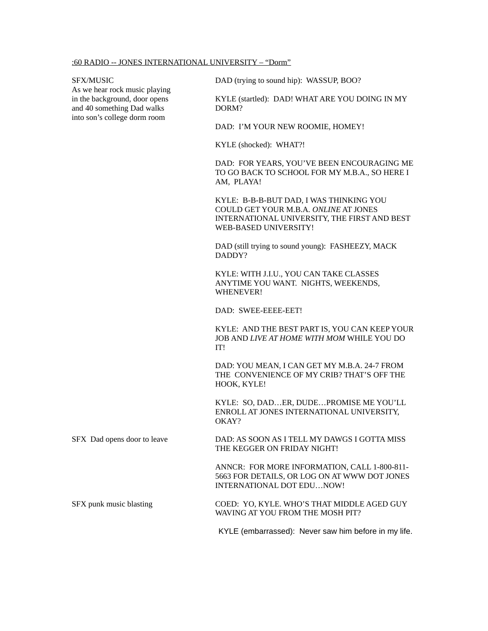As we hear rock music playing and 40 something Dad walks DORM? into son's college dorm room

SFX/MUSIC DAD (trying to sound hip): WASSUP, BOO?

in the background, door opens KYLE (startled): DAD! WHAT ARE YOU DOING IN MY

DAD: I'M YOUR NEW ROOMIE, HOMEY!

KYLE (shocked): WHAT?!

DAD: FOR YEARS, YOU'VE BEEN ENCOURAGING ME TO GO BACK TO SCHOOL FOR MY M.B.A., SO HERE I AM, PLAYA!

KYLE: B-B-B-BUT DAD, I WAS THINKING YOU COULD GET YOUR M.B.A*. ONLINE* AT JONES INTERNATIONAL UNIVERSITY, THE FIRST AND BEST WEB-BASED UNIVERSITY!

DAD (still trying to sound young): FASHEEZY, MACK DADDY?

KYLE: WITH J.I.U., YOU CAN TAKE CLASSES ANYTIME YOU WANT. NIGHTS, WEEKENDS, WHENEVER!

DAD: SWEE-EEEE-EET!

KYLE: AND THE BEST PART IS, YOU CAN KEEP YOUR JOB AND *LIVE AT HOME WITH MOM* WHILE YOU DO IT!

DAD: YOU MEAN, I CAN GET MY M.B.A. 24-7 FROM THE CONVENIENCE OF MY CRIB? THAT'S OFF THE HOOK, KYLE!

KYLE: SO, DAD…ER, DUDE…PROMISE ME YOU'LL ENROLL AT JONES INTERNATIONAL UNIVERSITY, OKAY?

SFX Dad opens door to leave DAD: AS SOON AS I TELL MY DAWGS I GOTTA MISS THE KEGGER ON FRIDAY NIGHT!

> ANNCR: FOR MORE INFORMATION, CALL 1-800-811- 5663 FOR DETAILS, OR LOG ON AT WWW DOT JONES INTERNATIONAL DOT EDU…NOW!

SFX punk music blasting COED: YO, KYLE. WHO'S THAT MIDDLE AGED GUY WAVING AT YOU FROM THE MOSH PIT?

KYLE (embarrassed): Never saw him before in my life.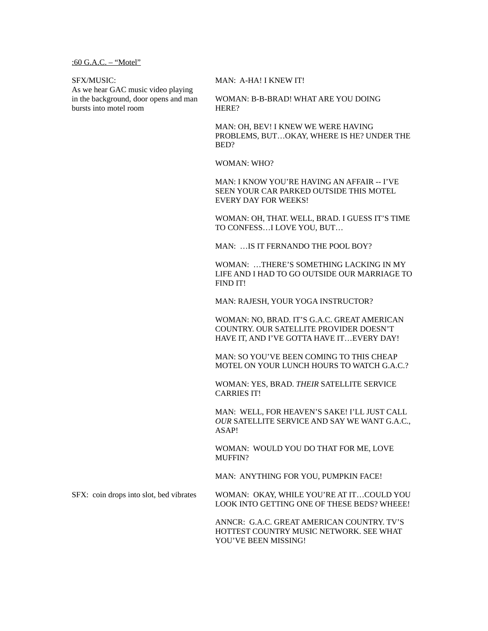:60 G.A.C. – "Motel"

As we hear GAC music video playing bursts into motel room **HERE?** 

SFX/MUSIC: MAN: A-HA! I KNEW IT!

in the background, door opens and man WOMAN: B-B-BRAD! WHAT ARE YOU DOING

MAN: OH, BEV! I KNEW WE WERE HAVING PROBLEMS, BUT…OKAY, WHERE IS HE? UNDER THE BED?

WOMAN: WHO?

MAN: I KNOW YOU'RE HAVING AN AFFAIR -- I'VE SEEN YOUR CAR PARKED OUTSIDE THIS MOTEL EVERY DAY FOR WEEKS!

WOMAN: OH, THAT. WELL, BRAD. I GUESS IT'S TIME TO CONFESS…I LOVE YOU, BUT…

MAN: …IS IT FERNANDO THE POOL BOY?

WOMAN: …THERE'S SOMETHING LACKING IN MY LIFE AND I HAD TO GO OUTSIDE OUR MARRIAGE TO FIND IT!

MAN: RAJESH, YOUR YOGA INSTRUCTOR?

WOMAN: NO, BRAD. IT'S G.A.C. GREAT AMERICAN COUNTRY. OUR SATELLITE PROVIDER DOESN'T HAVE IT, AND I'VE GOTTA HAVE IT…EVERY DAY!

MAN: SO YOU'VE BEEN COMING TO THIS CHEAP MOTEL ON YOUR LUNCH HOURS TO WATCH G.A.C.?

WOMAN: YES, BRAD. *THEIR* SATELLITE SERVICE CARRIES IT!

MAN: WELL, FOR HEAVEN'S SAKE! I'LL JUST CALL *OUR* SATELLITE SERVICE AND SAY WE WANT G.A.C., ASAP!

WOMAN: WOULD YOU DO THAT FOR ME, LOVE MUFFIN?

MAN: ANYTHING FOR YOU, PUMPKIN FACE!

SFX: coin drops into slot, bed vibrates WOMAN: OKAY, WHILE YOU'RE AT IT…COULD YOU LOOK INTO GETTING ONE OF THESE BEDS? WHEEE!

> ANNCR: G.A.C. GREAT AMERICAN COUNTRY. TV'S HOTTEST COUNTRY MUSIC NETWORK. SEE WHAT YOU'VE BEEN MISSING!